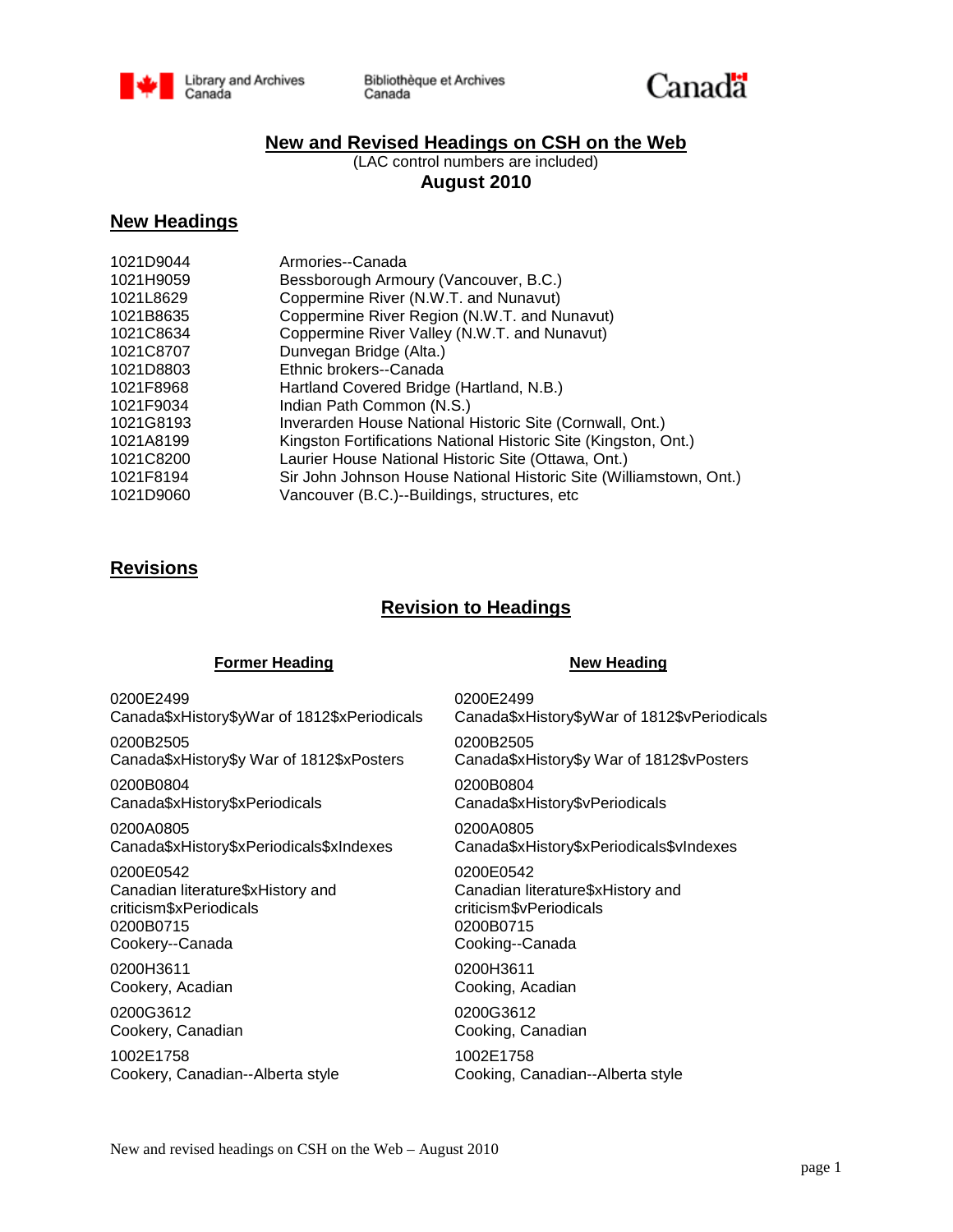

Bibliothèque et Archives Canada



### **New and Revised Headings on CSH on the Web**

(LAC control numbers are included) **August 2010**

### **New Headings**

| 1021D9044 | Armories--Canada                                                   |
|-----------|--------------------------------------------------------------------|
| 1021H9059 | Bessborough Armoury (Vancouver, B.C.)                              |
| 1021L8629 | Coppermine River (N.W.T. and Nunavut)                              |
| 1021B8635 | Coppermine River Region (N.W.T. and Nunavut)                       |
| 1021C8634 | Coppermine River Valley (N.W.T. and Nunavut)                       |
| 1021C8707 | Dunvegan Bridge (Alta.)                                            |
| 1021D8803 | Ethnic brokers--Canada                                             |
| 1021F8968 | Hartland Covered Bridge (Hartland, N.B.)                           |
| 1021F9034 | Indian Path Common (N.S.)                                          |
| 1021G8193 | Inverarden House National Historic Site (Cornwall, Ont.)           |
| 1021A8199 | Kingston Fortifications National Historic Site (Kingston, Ont.)    |
| 1021C8200 | Laurier House National Historic Site (Ottawa, Ont.)                |
| 1021F8194 | Sir John Johnson House National Historic Site (Williamstown, Ont.) |
| 1021D9060 | Vancouver (B.C.)--Buildings, structures, etc.                      |

## **Revisions**

## **Revision to Headings**

### **Former Heading New Heading**

0200E2499 Canada\$xHistory\$yWar of 1812\$xPeriodicals

0200B2505 Canada\$xHistory\$y War of 1812\$xPosters

0200B0804 Canada\$xHistory\$xPeriodicals

0200A0805 Canada\$xHistory\$xPeriodicals\$xIndexes

0200E0542 Canadian literature\$xHistory and criticism\$xPeriodicals 0200B0715 Cookery--Canada

0200H3611 Cookery, Acadian

0200G3612 Cookery, Canadian

1002E1758 Cookery, Canadian--Alberta style 0200E2499 Canada\$xHistory\$yWar of 1812\$vPeriodicals 0200B2505 Canada\$xHistory\$y War of 1812\$vPosters 0200B0804 Canada\$xHistory\$vPeriodicals 0200A0805 Canada\$xHistory\$xPeriodicals\$vIndexes 0200E0542 Canadian literature\$xHistory and criticism\$vPeriodicals

0200B0715 Cooking--Canada

0200H3611 Cooking, Acadian

0200G3612 Cooking, Canadian

1002E1758 Cooking, Canadian--Alberta style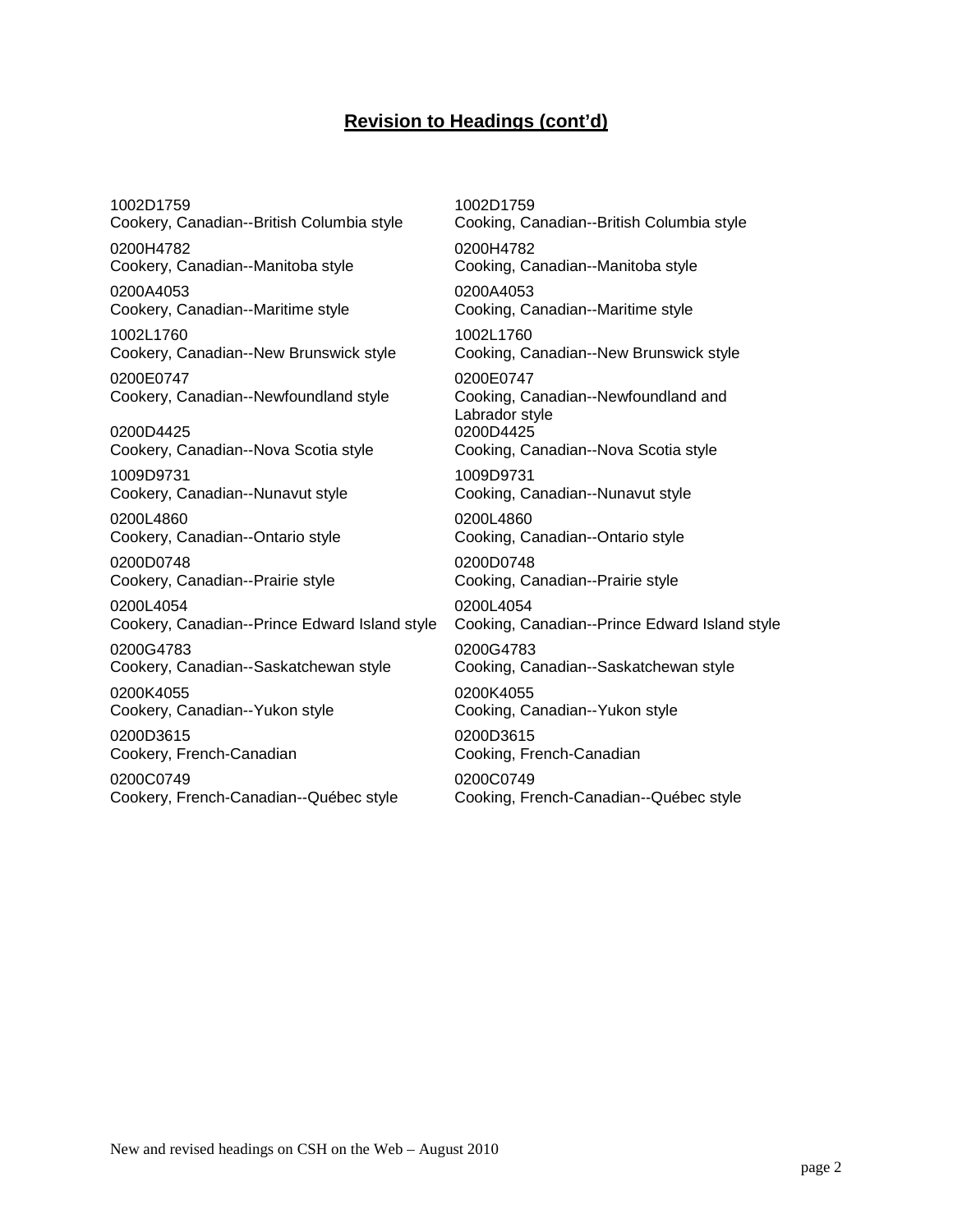# **Revision to Headings (cont'd)**

1002D1759 Cookery, Canadian--British Columbia style

0200H4782 Cookery, Canadian--Manitoba style

0200A4053 Cookery, Canadian--Maritime style

1002L1760 Cookery, Canadian--New Brunswick style

0200E0747 Cookery, Canadian--Newfoundland style

0200D4425 Cookery, Canadian--Nova Scotia style

1009D9731 Cookery, Canadian--Nunavut style

0200L4860 Cookery, Canadian--Ontario style

0200D0748 Cookery, Canadian--Prairie style

0200L4054 Cookery, Canadian--Prince Edward Island style

0200G4783 Cookery, Canadian--Saskatchewan style

0200K4055 Cookery, Canadian--Yukon style

0200D3615 Cookery, French-Canadian

0200C0749 Cookery, French-Canadian--Québec style 1002D1759 Cooking, Canadian--British Columbia style 0200H4782 Cooking, Canadian--Manitoba style 0200A4053 Cooking, Canadian--Maritime style 1002L1760 Cooking, Canadian--New Brunswick style 0200E0747 Cooking, Canadian--Newfoundland and Labrador style 0200D4425 Cooking, Canadian--Nova Scotia style 1009D9731 Cooking, Canadian--Nunavut style 0200L4860 Cooking, Canadian--Ontario style 0200D0748 Cooking, Canadian--Prairie style 0200L4054 Cooking, Canadian--Prince Edward Island style 0200G4783 Cooking, Canadian--Saskatchewan style 0200K4055 Cooking, Canadian--Yukon style 0200D3615 Cooking, French-Canadian 0200C0749

Cooking, French-Canadian--Québec style